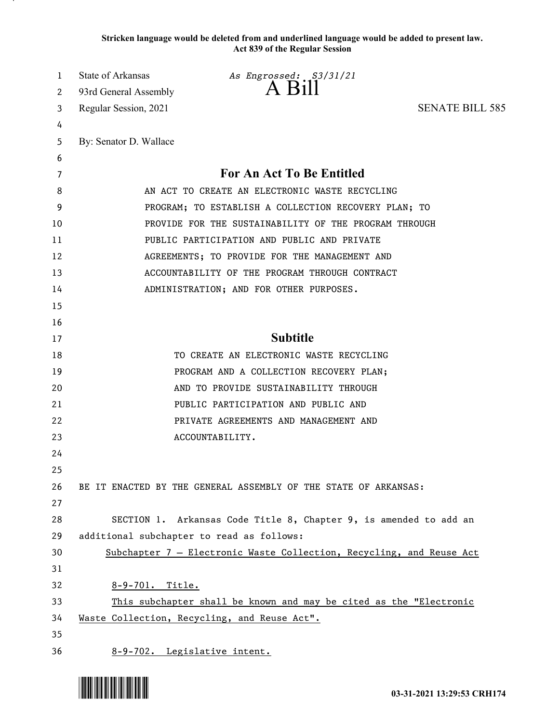**Stricken language would be deleted from and underlined language would be added to present law. Act 839 of the Regular Session**

| 1  | State of Arkansas      | As Engrossed: S3/31/21                                               |                        |
|----|------------------------|----------------------------------------------------------------------|------------------------|
| 2  | 93rd General Assembly  | A Bill                                                               |                        |
| 3  | Regular Session, 2021  |                                                                      | <b>SENATE BILL 585</b> |
| 4  |                        |                                                                      |                        |
| 5  | By: Senator D. Wallace |                                                                      |                        |
| 6  |                        |                                                                      |                        |
| 7  |                        | For An Act To Be Entitled                                            |                        |
| 8  |                        | AN ACT TO CREATE AN ELECTRONIC WASTE RECYCLING                       |                        |
| 9  |                        | PROGRAM; TO ESTABLISH A COLLECTION RECOVERY PLAN; TO                 |                        |
| 10 |                        | PROVIDE FOR THE SUSTAINABILITY OF THE PROGRAM THROUGH                |                        |
| 11 |                        | PUBLIC PARTICIPATION AND PUBLIC AND PRIVATE                          |                        |
| 12 |                        | AGREEMENTS; TO PROVIDE FOR THE MANAGEMENT AND                        |                        |
| 13 |                        | ACCOUNTABILITY OF THE PROGRAM THROUGH CONTRACT                       |                        |
| 14 |                        | ADMINISTRATION; AND FOR OTHER PURPOSES.                              |                        |
| 15 |                        |                                                                      |                        |
| 16 |                        |                                                                      |                        |
| 17 |                        | <b>Subtitle</b>                                                      |                        |
| 18 |                        | TO CREATE AN ELECTRONIC WASTE RECYCLING                              |                        |
| 19 |                        | PROGRAM AND A COLLECTION RECOVERY PLAN;                              |                        |
| 20 |                        | AND TO PROVIDE SUSTAINABILITY THROUGH                                |                        |
| 21 |                        | PUBLIC PARTICIPATION AND PUBLIC AND                                  |                        |
| 22 |                        | PRIVATE AGREEMENTS AND MANAGEMENT AND                                |                        |
| 23 |                        | ACCOUNTABILITY.                                                      |                        |
| 24 |                        |                                                                      |                        |
| 25 |                        |                                                                      |                        |
| 26 |                        | BE IT ENACTED BY THE GENERAL ASSEMBLY OF THE STATE OF ARKANSAS:      |                        |
| 27 |                        |                                                                      |                        |
| 28 |                        | SECTION 1. Arkansas Code Title 8, Chapter 9, is amended to add an    |                        |
| 29 |                        | additional subchapter to read as follows:                            |                        |
| 30 |                        | Subchapter 7 - Electronic Waste Collection, Recycling, and Reuse Act |                        |
| 31 |                        |                                                                      |                        |
| 32 | 8-9-701. Title.        |                                                                      |                        |
| 33 |                        | This subchapter shall be known and may be cited as the "Electronic   |                        |
| 34 |                        | Waste Collection, Recycling, and Reuse Act".                         |                        |
| 35 |                        |                                                                      |                        |
| 36 |                        | 8-9-702. Legislative intent.                                         |                        |

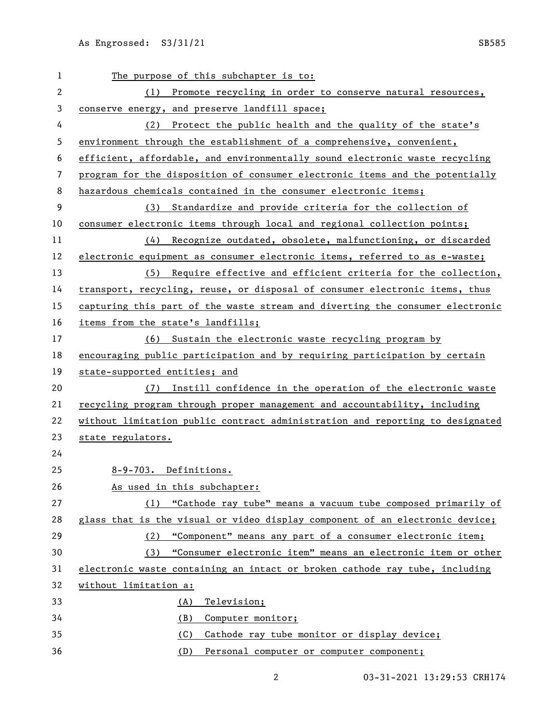| 1            | The purpose of this subchapter is to:                                         |
|--------------|-------------------------------------------------------------------------------|
| $\mathbf{2}$ | (1) Promote recycling in order to conserve natural resources,                 |
| 3            | conserve energy, and preserve landfill space;                                 |
| 4            | (2) Protect the public health and the quality of the state's                  |
| 5            | environment through the establishment of a comprehensive, convenient,         |
| 6            | efficient, affordable, and environmentally sound electronic waste recycling   |
| 7            | program for the disposition of consumer electronic items and the potentially  |
| 8            | hazardous chemicals contained in the consumer electronic items;               |
| 9            | (3) Standardize and provide criteria for the collection of                    |
| 10           | consumer electronic items through local and regional collection points;       |
| 11           | (4) Recognize outdated, obsolete, malfunctioning, or discarded                |
| 12           | electronic equipment as consumer electronic items, referred to as e-waste;    |
| 13           | (5) Require effective and efficient criteria for the collection,              |
| 14           | transport, recycling, reuse, or disposal of consumer electronic items, thus   |
| 15           | capturing this part of the waste stream and diverting the consumer electronic |
| 16           | items from the state's landfills;                                             |
| 17           | (6) Sustain the electronic waste recycling program by                         |
| 18           | encouraging public participation and by requiring participation by certain    |
| 19           | state-supported entities; and                                                 |
| 20           | (7) Instill confidence in the operation of the electronic waste               |
| 21           | recycling program through proper management and accountability, including     |
| 22           | without limitation public contract administration and reporting to designated |
| 23           | state regulators.                                                             |
| 24           |                                                                               |
| 25           | 8-9-703. Definitions.                                                         |
| 26           | As used in this subchapter:                                                   |
| 27           | (1) "Cathode ray tube" means a vacuum tube composed primarily of              |
| 28           | glass that is the visual or video display component of an electronic device;  |
| 29           | "Component" means any part of a consumer electronic item;<br>(2)              |
| 30           | "Consumer electronic item" means an electronic item or other<br>(3)           |
| 31           | electronic waste containing an intact or broken cathode ray tube, including   |
| 32           | without limitation a:                                                         |
| 33           | Television;<br>(A)                                                            |
| 34           | (B)<br>Computer monitor;                                                      |
| 35           | (C)<br>Cathode ray tube monitor or display device;                            |
| 36           | (D)<br>Personal computer or computer component;                               |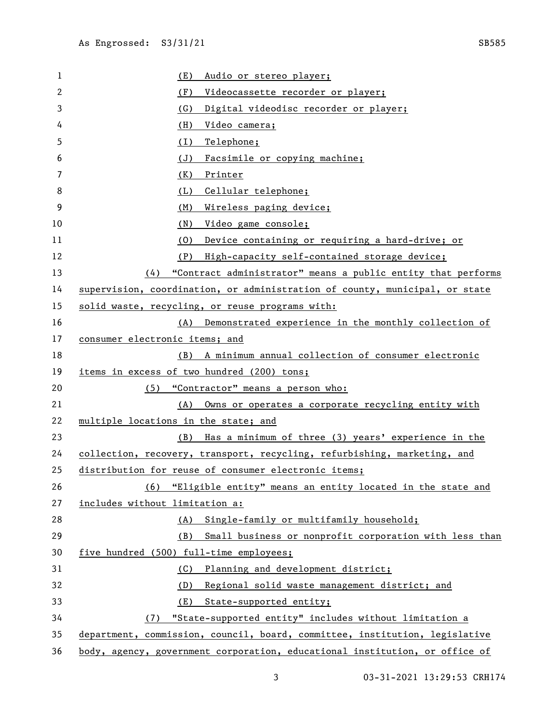| 1  | (E)<br>Audio or stereo player;                                              |
|----|-----------------------------------------------------------------------------|
| 2  | (F)<br>Videocassette recorder or player;                                    |
| 3  | (G)<br>Digital videodisc recorder or player;                                |
| 4  | (H)<br>Video camera;                                                        |
| 5  | (1)<br>Telephone;                                                           |
| 6  | (J)<br>Facsimile or copying machine;                                        |
| 7  | (K)<br>Printer                                                              |
| 8  | Cellular telephone;<br>(L)                                                  |
| 9  | (M)<br>Wireless paging device;                                              |
| 10 | (N)<br>Video game console;                                                  |
| 11 | (0)<br>Device containing or requiring a hard-drive; or                      |
| 12 | High-capacity self-contained storage device;<br>(P)                         |
| 13 | $(4)$ "Contract administrator" means a public entity that performs          |
| 14 | supervision, coordination, or administration of county, municipal, or state |
| 15 | solid waste, recycling, or reuse programs with:                             |
| 16 | (A) Demonstrated experience in the monthly collection of                    |
| 17 | consumer electronic items; and                                              |
| 18 | (B) A minimum annual collection of consumer electronic                      |
| 19 | items in excess of two hundred (200) tons;                                  |
| 20 | "Contractor" means a person who:<br>(5)                                     |
| 21 | (A)<br>Owns or operates a corporate recycling entity with                   |
| 22 | multiple locations in the state; and                                        |
| 23 | Has a minimum of three (3) years' experience in the<br>(B)                  |
| 24 | collection, recovery, transport, recycling, refurbishing, marketing, and    |
| 25 | distribution for reuse of consumer electronic items;                        |
| 26 | (6) "Eligible entity" means an entity located in the state and              |
| 27 | includes without limitation a:                                              |
| 28 | Single-family or multifamily household;<br>(A)                              |
| 29 | Small business or nonprofit corporation with less than<br>(B)               |
| 30 | five hundred (500) full-time employees;                                     |
| 31 | Planning and development district;<br>(C)                                   |
| 32 | Regional solid waste management district; and<br>(D)                        |
| 33 | State-supported entity;<br>(E)                                              |
| 34 | "State-supported entity" includes without limitation a<br>(7)               |
| 35 | department, commission, council, board, committee, institution, legislative |
| 36 | body, agency, government corporation, educational institution, or office of |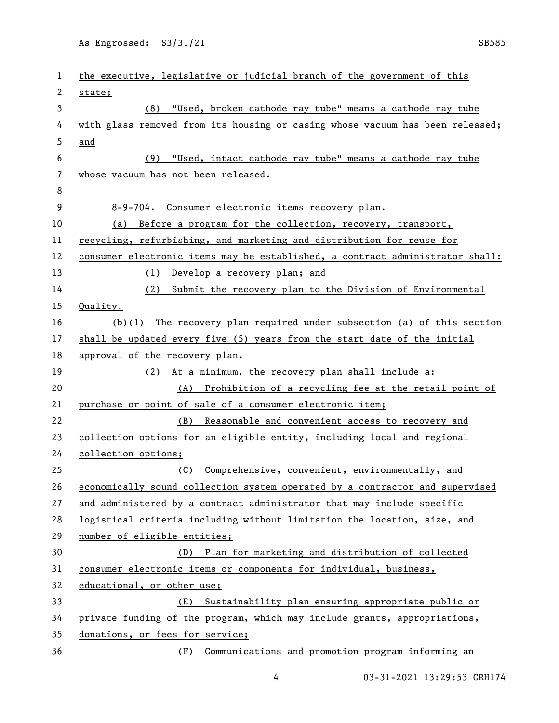As Engrossed: S3/31/21 SB585

| 1  | the executive, legislative or judicial branch of the government of this       |
|----|-------------------------------------------------------------------------------|
| 2  | state;                                                                        |
| 3  | (8) "Used, broken cathode ray tube" means a cathode ray tube                  |
| 4  | with glass removed from its housing or casing whose vacuum has been released; |
| 5  | and                                                                           |
| 6  | "Used, intact cathode ray tube" means a cathode ray tube<br>(9)               |
| 7  | whose vacuum has not been released.                                           |
| 8  |                                                                               |
| 9  | 8-9-704. Consumer electronic items recovery plan.                             |
| 10 | (a) Before a program for the collection, recovery, transport,                 |
| 11 | recycling, refurbishing, and marketing and distribution for reuse for         |
| 12 | consumer electronic items may be established, a contract administrator shall: |
| 13 | (1) Develop a recovery plan; and                                              |
| 14 | (2) Submit the recovery plan to the Division of Environmental                 |
| 15 | Quality.                                                                      |
| 16 | $(b)(1)$ The recovery plan required under subsection (a) of this section      |
| 17 | shall be updated every five (5) years from the start date of the initial      |
| 18 | approval of the recovery plan.                                                |
| 19 | (2) At a minimum, the recovery plan shall include a:                          |
| 20 | (A) Prohibition of a recycling fee at the retail point of                     |
| 21 | purchase or point of sale of a consumer electronic item;                      |
| 22 | Reasonable and convenient access to recovery and<br>(B)                       |
| 23 | collection options for an eligible entity, including local and regional       |
| 24 | collection options;                                                           |
| 25 | (C)<br>Comprehensive, convenient, environmentally, and                        |
| 26 | economically sound collection system operated by a contractor and supervised  |
| 27 | and administered by a contract administrator that may include specific        |
| 28 | logistical criteria including without limitation the location, size, and      |
| 29 | number of eligible entities;                                                  |
| 30 | (D) Plan for marketing and distribution of collected                          |
| 31 | consumer electronic items or components for individual, business,             |
| 32 | educational, or other use;                                                    |
| 33 | Sustainability plan ensuring appropriate public or<br>(E)                     |
| 34 | private funding of the program, which may include grants, appropriations,     |
| 35 | donations, or fees for service;                                               |
| 36 | (F) Communications and promotion program informing an                         |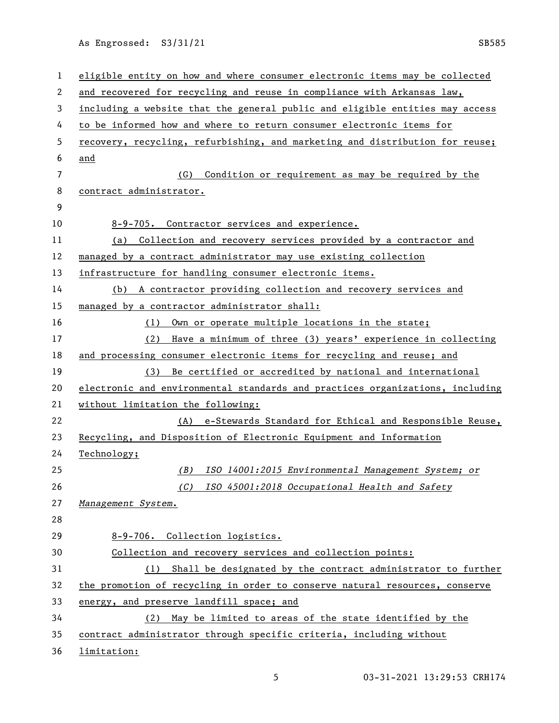As Engrossed: S3/31/21 SB585

| 1              | eligible entity on how and where consumer electronic items may be collected   |
|----------------|-------------------------------------------------------------------------------|
| 2              | and recovered for recycling and reuse in compliance with Arkansas law,        |
| 3              | including a website that the general public and eligible entities may access  |
| 4              | to be informed how and where to return consumer electronic items for          |
| 5              | recovery, recycling, refurbishing, and marketing and distribution for reuse;  |
| 6              | and                                                                           |
| $\overline{7}$ | Condition or requirement as may be required by the<br>(G)                     |
| 8              | contract administrator.                                                       |
| 9              |                                                                               |
| 10             | 8-9-705. Contractor services and experience.                                  |
| 11             | (a) Collection and recovery services provided by a contractor and             |
| 12             | managed by a contract administrator may use existing collection               |
| 13             | infrastructure for handling consumer electronic items.                        |
| 14             | (b) A contractor providing collection and recovery services and               |
| 15             | managed by a contractor administrator shall:                                  |
| 16             | (1) Own or operate multiple locations in the state;                           |
| 17             | Have a minimum of three (3) years' experience in collecting<br>(2)            |
| 18             | and processing consumer electronic items for recycling and reuse; and         |
| 19             | (3) Be certified or accredited by national and international                  |
| 20             | electronic and environmental standards and practices organizations, including |
| 21             | without limitation the following:                                             |
| 22             | (A) e-Stewards Standard for Ethical and Responsible Reuse,                    |
| 23             | Recycling, and Disposition of Electronic Equipment and Information            |
| 24             | Technology;                                                                   |
| 25             | ISO 14001:2015 Environmental Management System; or<br>(B)                     |
| 26             | (C) ISO 45001:2018 Occupational Health and Safety                             |
| 27             | Management System.                                                            |
| 28             |                                                                               |
| 29             | 8-9-706. Collection logistics.                                                |
| 30             | Collection and recovery services and collection points:                       |
| 31             | (1) Shall be designated by the contract administrator to further              |
| 32             | the promotion of recycling in order to conserve natural resources, conserve   |
| 33             | energy, and preserve landfill space; and                                      |
| 34             | (2) May be limited to areas of the state identified by the                    |
| 35             | contract administrator through specific criteria, including without           |
| 36             | limitation:                                                                   |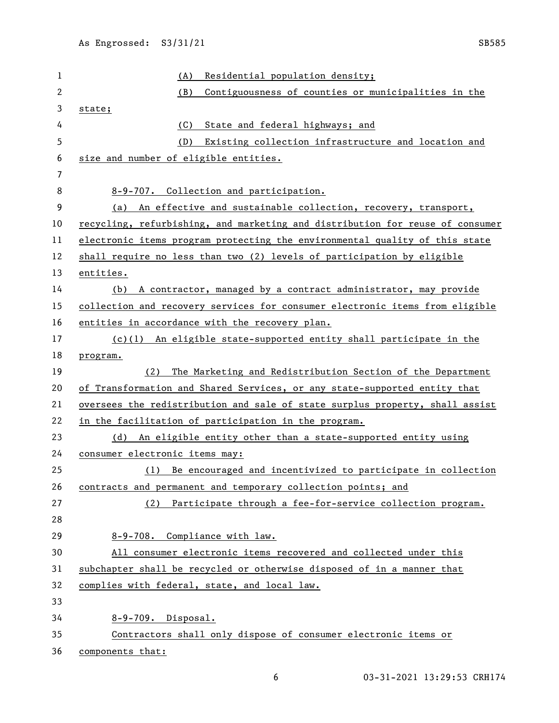| 1  | Residential population density;<br>(A)                                        |
|----|-------------------------------------------------------------------------------|
| 2  | (B)<br>Contiguousness of counties or municipalities in the                    |
| 3  | state;                                                                        |
| 4  | (C)<br>State and federal highways; and                                        |
| 5  | (D)<br>Existing collection infrastructure and location and                    |
| 6  | size and number of eligible entities.                                         |
| 7  |                                                                               |
| 8  | 8-9-707. Collection and participation.                                        |
| 9  | (a) An effective and sustainable collection, recovery, transport,             |
| 10 | recycling, refurbishing, and marketing and distribution for reuse of consumer |
| 11 | electronic items program protecting the environmental quality of this state   |
| 12 | shall require no less than two (2) levels of participation by eligible        |
| 13 | entities.                                                                     |
| 14 | (b) A contractor, managed by a contract administrator, may provide            |
| 15 | collection and recovery services for consumer electronic items from eligible  |
| 16 | entities in accordance with the recovery plan.                                |
| 17 | $(c)(1)$ An eligible state-supported entity shall participate in the          |
| 18 | program.                                                                      |
| 19 | The Marketing and Redistribution Section of the Department<br>(2)             |
| 20 | of Transformation and Shared Services, or any state-supported entity that     |
| 21 | oversees the redistribution and sale of state surplus property, shall assist  |
| 22 | in the facilitation of participation in the program.                          |
| 23 | (d) An eligible entity other than a state-supported entity using              |
| 24 | consumer electronic items may:                                                |
| 25 | (1) Be encouraged and incentivized to participate in collection               |
| 26 | contracts and permanent and temporary collection points; and                  |
| 27 | (2) Participate through a fee-for-service collection program.                 |
| 28 |                                                                               |
| 29 | 8-9-708. Compliance with law.                                                 |
| 30 | All consumer electronic items recovered and collected under this              |
| 31 | subchapter shall be recycled or otherwise disposed of in a manner that        |
| 32 | complies with federal, state, and local law.                                  |
| 33 |                                                                               |
| 34 | 8-9-709. Disposal.                                                            |
| 35 |                                                                               |
|    | Contractors shall only dispose of consumer electronic items or                |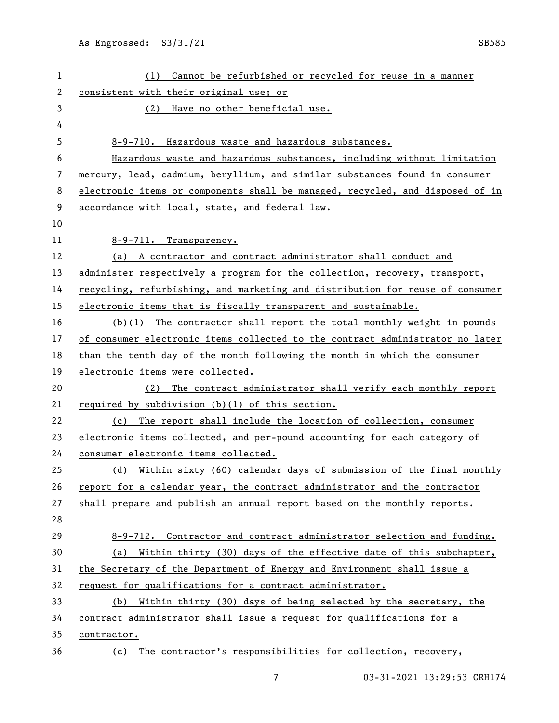(1) Cannot be refurbished or recycled for reuse in a manner consistent with their original use; or (2) Have no other beneficial use. 8-9-710. Hazardous waste and hazardous substances. Hazardous waste and hazardous substances, including without limitation mercury, lead, cadmium, beryllium, and similar substances found in consumer electronic items or components shall be managed, recycled, and disposed of in accordance with local, state, and federal law. 8-9-711. Transparency. (a) A contractor and contract administrator shall conduct and administer respectively a program for the collection, recovery, transport, recycling, refurbishing, and marketing and distribution for reuse of consumer 15 electronic items that is fiscally transparent and sustainable. (b)(1) The contractor shall report the total monthly weight in pounds of consumer electronic items collected to the contract administrator no later than the tenth day of the month following the month in which the consumer electronic items were collected. (2) The contract administrator shall verify each monthly report required by subdivision (b)(1) of this section. (c) The report shall include the location of collection, consumer 23 electronic items collected, and per-pound accounting for each category of consumer electronic items collected. (d) Within sixty (60) calendar days of submission of the final monthly report for a calendar year, the contract administrator and the contractor shall prepare and publish an annual report based on the monthly reports. 8-9-712. Contractor and contract administrator selection and funding. (a) Within thirty (30) days of the effective date of this subchapter, the Secretary of the Department of Energy and Environment shall issue a request for qualifications for a contract administrator. (b) Within thirty (30) days of being selected by the secretary, the contract administrator shall issue a request for qualifications for a contractor. (c) The contractor's responsibilities for collection, recovery,